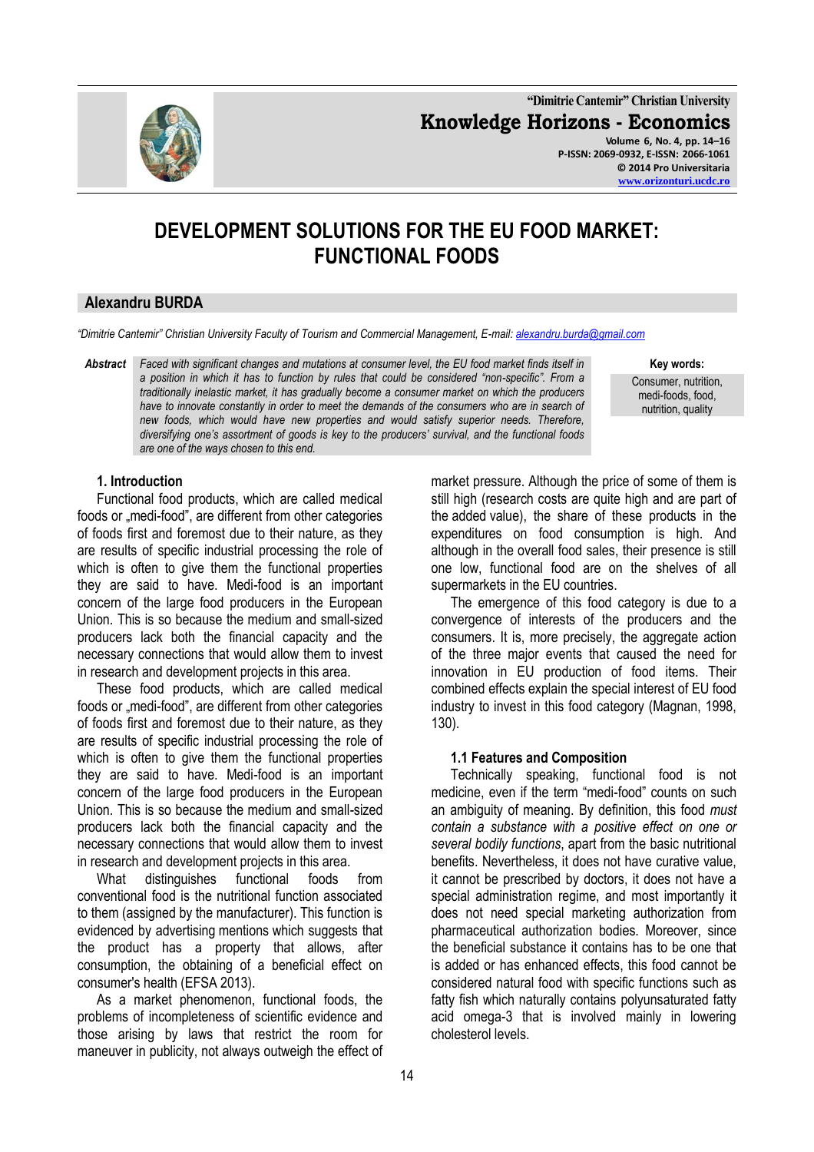

**"Dimitrie Cantemir" Christian University Knowledge Horizons - Economics Volume 6, No. 4, pp. 14–16 P-ISSN: 2069-0932, E-ISSN: 2066-1061 © 2014 Pro Universitaria**

**[www.orizonturi.ucdc.ro](http://www.orizonturi.ucdc.ro/)**

# **DEVELOPMENT SOLUTIONS FOR THE EU FOOD MARKET: FUNCTIONAL FOODS**

## **Alexandru BURDA**

*"Dimitrie Cantemir" Christian University Faculty of Tourism and Commercial Management, E-mail: [alexandru.burda@gmail.com](mailto:alexandru.burda@gmail.com)*

*Abstract Faced with significant changes and mutations at consumer level, the EU food market finds itself in a position in which it has to function by rules that could be considered "non-specific". From a traditionally inelastic market, it has gradually become a consumer market on which the producers have to innovate constantly in order to meet the demands of the consumers who are in search of new foods, which would have new properties and would satisfy superior needs. Therefore, diversifying one's assortment of goods is key to the producers' survival, and the functional foods are one of the ways chosen to this end.*

**Key words:** 

Consumer, nutrition, medi-foods, food, nutrition, quality

## **1. Introduction**

Functional food products, which are called medical foods or "medi-food", are different from other categories of foods first and foremost due to their nature, as they are results of specific industrial processing the role of which is often to give them the functional properties they are said to have. Medi-food is an important concern of the large food producers in the European Union. This is so because the medium and small-sized producers lack both the financial capacity and the necessary connections that would allow them to invest in research and development projects in this area.

These food products, which are called medical foods or "medi-food", are different from other categories of foods first and foremost due to their nature, as they are results of specific industrial processing the role of which is often to give them the functional properties they are said to have. Medi-food is an important concern of the large food producers in the European Union. This is so because the medium and small-sized producers lack both the financial capacity and the necessary connections that would allow them to invest in research and development projects in this area.

What distinguishes functional foods from conventional food is the nutritional function associated to them (assigned by the manufacturer). This function is evidenced by advertising mentions which suggests that the product has a property that allows, after consumption, the obtaining of a beneficial effect on consumer's health (EFSA 2013).

As a market phenomenon, functional foods, the problems of incompleteness of scientific evidence and those arising by laws that restrict the room for maneuver in publicity, not always outweigh the effect of market pressure. Although the price of some of them is still high (research costs are quite high and are part of the added value), the share of these products in the expenditures on food consumption is high. And although in the overall food sales, their presence is still one low, functional food are on the shelves of all supermarkets in the EU countries.

The emergence of this food category is due to a convergence of interests of the producers and the consumers. It is, more precisely, the aggregate action of the three major events that caused the need for innovation in EU production of food items. Their combined effects explain the special interest of EU food industry to invest in this food category (Magnan, 1998, 130).

### **1.1 Features and Composition**

Technically speaking, functional food is not medicine, even if the term "medi-food" counts on such an ambiguity of meaning. By definition, this food *must contain a substance with a positive effect on one or several bodily functions*, apart from the basic nutritional benefits. Nevertheless, it does not have curative value, it cannot be prescribed by doctors, it does not have a special administration regime, and most importantly it does not need special marketing authorization from pharmaceutical authorization bodies. Moreover, since the beneficial substance it contains has to be one that is added or has enhanced effects, this food cannot be considered natural food with specific functions such as fatty fish which naturally contains polyunsaturated fatty acid omega-3 that is involved mainly in lowering cholesterol levels.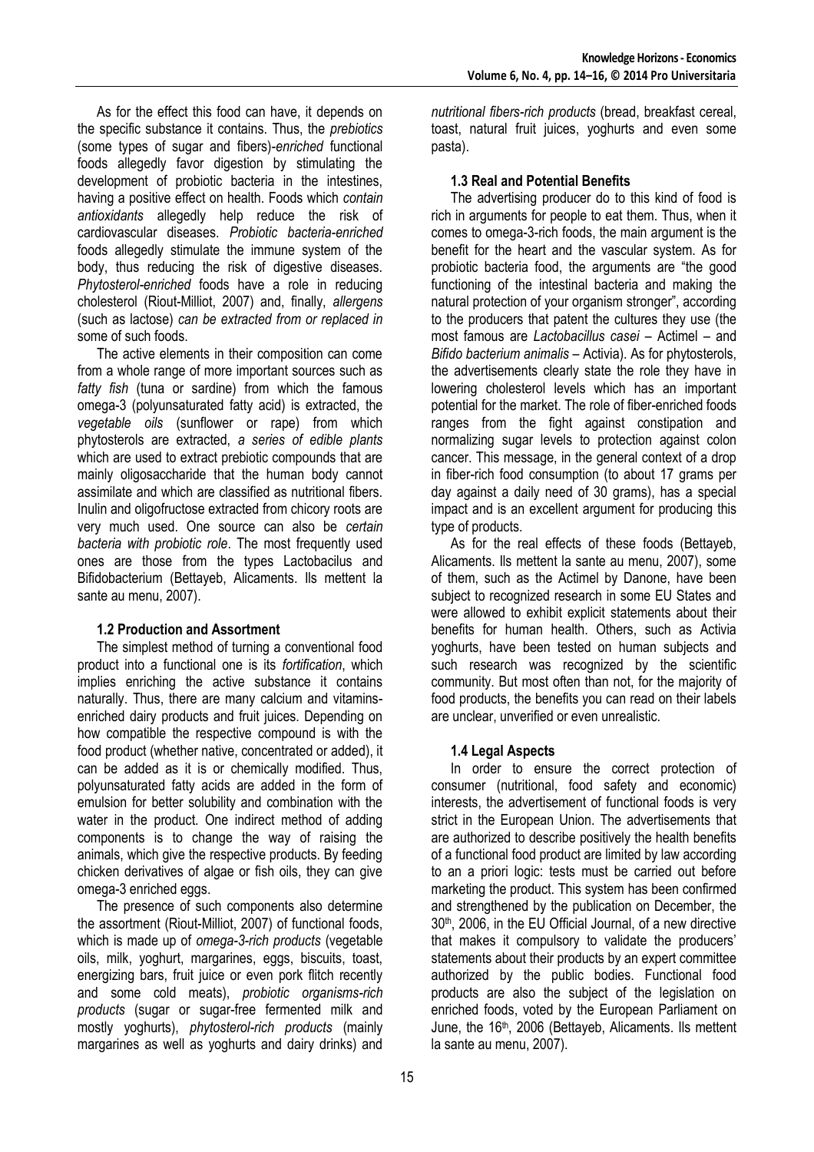As for the effect this food can have, it depends on the specific substance it contains. Thus, the *prebiotics* (some types of sugar and fibers)-*enriched* functional foods allegedly favor digestion by stimulating the development of probiotic bacteria in the intestines, having a positive effect on health. Foods which *contain antioxidants* allegedly help reduce the risk of cardiovascular diseases. *Probiotic bacteria-enriched* foods allegedly stimulate the immune system of the body, thus reducing the risk of digestive diseases. *Phytosterol-enriched* foods have a role in reducing cholesterol (Riout-Milliot, 2007) and, finally, *allergens*  (such as lactose) *can be extracted from or replaced in* some of such foods.

The active elements in their composition can come from a whole range of more important sources such as *fatty fish* (tuna or sardine) from which the famous omega-3 (polyunsaturated fatty acid) is extracted, the *vegetable oils* (sunflower or rape) from which phytosterols are extracted, *a series of edible plants* which are used to extract prebiotic compounds that are mainly oligosaccharide that the human body cannot assimilate and which are classified as nutritional fibers. Inulin and oligofructose extracted from chicory roots are very much used. One source can also be *certain bacteria with probiotic role*. The most frequently used ones are those from the types Lactobacilus and Bifidobacterium (Bettayeb, Alicaments. Ils mettent la sante au menu, 2007).

### **1.2 Production and Assortment**

The simplest method of turning a conventional food product into a functional one is its *fortification*, which implies enriching the active substance it contains naturally. Thus, there are many calcium and vitaminsenriched dairy products and fruit juices. Depending on how compatible the respective compound is with the food product (whether native, concentrated or added), it can be added as it is or chemically modified. Thus, polyunsaturated fatty acids are added in the form of emulsion for better solubility and combination with the water in the product. One indirect method of adding components is to change the way of raising the animals, which give the respective products. By feeding chicken derivatives of algae or fish oils, they can give omega-3 enriched eggs.

The presence of such components also determine the assortment (Riout-Milliot, 2007) of functional foods, which is made up of *omega-3-rich products* (vegetable oils, milk, yoghurt, margarines, eggs, biscuits, toast, energizing bars, fruit juice or even pork flitch recently and some cold meats), *probiotic organisms-rich products* (sugar or sugar-free fermented milk and mostly yoghurts), *phytosterol-rich products* (mainly margarines as well as yoghurts and dairy drinks) and *nutritional fibers-rich products* (bread, breakfast cereal, toast, natural fruit juices, yoghurts and even some pasta).

#### **1.3 Real and Potential Benefits**

The advertising producer do to this kind of food is rich in arguments for people to eat them. Thus, when it comes to omega-3-rich foods, the main argument is the benefit for the heart and the vascular system. As for probiotic bacteria food, the arguments are "the good functioning of the intestinal bacteria and making the natural protection of your organism stronger", according to the producers that patent the cultures they use (the most famous are *Lactobacillus casei* – Actimel – and *Bifido bacterium animalis* – Activia). As for phytosterols, the advertisements clearly state the role they have in lowering cholesterol levels which has an important potential for the market. The role of fiber-enriched foods ranges from the fight against constipation and normalizing sugar levels to protection against colon cancer. This message, in the general context of a drop in fiber-rich food consumption (to about 17 grams per day against a daily need of 30 grams), has a special impact and is an excellent argument for producing this type of products.

As for the real effects of these foods (Bettayeb, Alicaments. Ils mettent la sante au menu, 2007), some of them, such as the Actimel by Danone, have been subject to recognized research in some EU States and were allowed to exhibit explicit statements about their benefits for human health. Others, such as Activia yoghurts, have been tested on human subjects and such research was recognized by the scientific community. But most often than not, for the majority of food products, the benefits you can read on their labels are unclear, unverified or even unrealistic.

### **1.4 Legal Aspects**

In order to ensure the correct protection of consumer (nutritional, food safety and economic) interests, the advertisement of functional foods is very strict in the European Union. The advertisements that are authorized to describe positively the health benefits of a functional food product are limited by law according to an a priori logic: tests must be carried out before marketing the product. This system has been confirmed and strengthened by the publication on December, the 30<sup>th</sup>, 2006, in the EU Official Journal, of a new directive that makes it compulsory to validate the producers' statements about their products by an expert committee authorized by the public bodies. Functional food products are also the subject of the legislation on enriched foods, voted by the European Parliament on June, the 16<sup>th</sup>, 2006 (Bettayeb, Alicaments. Ils mettent la sante au menu, 2007).